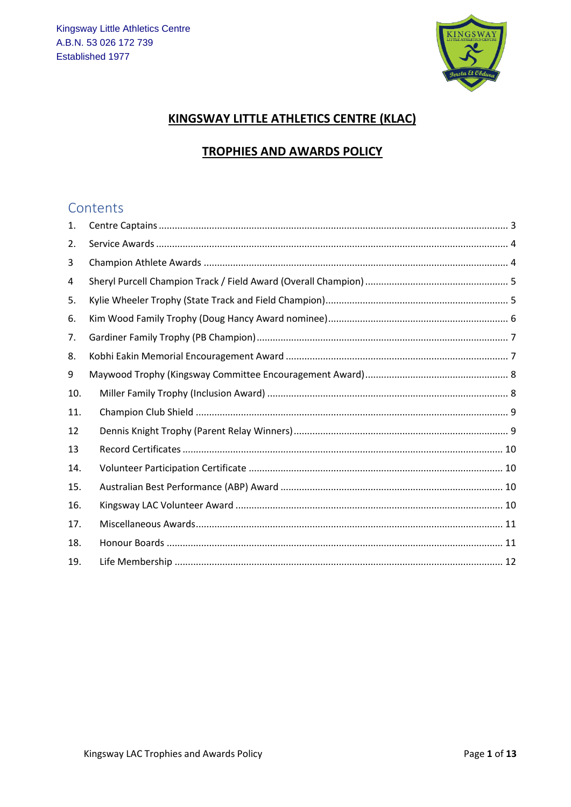

#### KINGSWAY LITTLE ATHLETICS CENTRE (KLAC)

#### **TROPHIES AND AWARDS POLICY**

## Contents

| 1.  |  |
|-----|--|
| 2.  |  |
| 3   |  |
| 4   |  |
| 5.  |  |
| 6.  |  |
| 7.  |  |
| 8.  |  |
| 9   |  |
| 10. |  |
| 11. |  |
| 12  |  |
| 13  |  |
| 14. |  |
| 15. |  |
| 16. |  |
| 17. |  |
| 18. |  |
| 19. |  |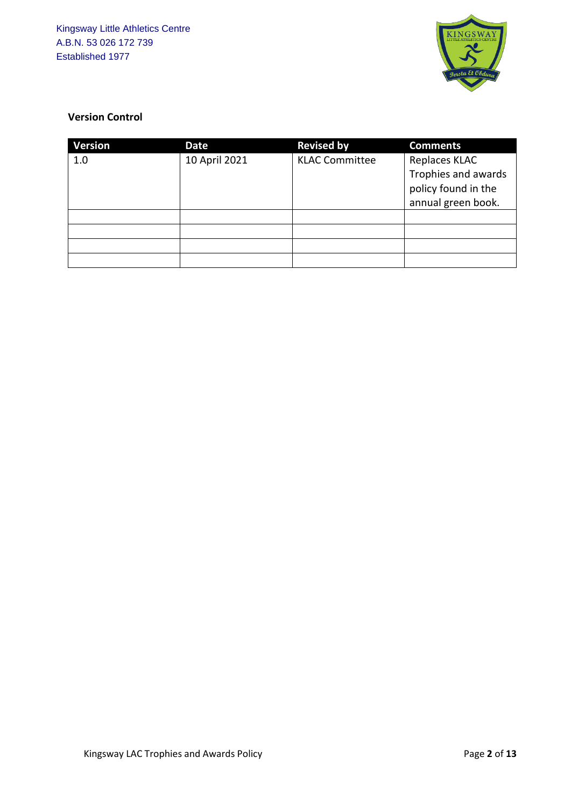

#### **Version Control**

| <b>Version</b> | Date          | <b>Revised by</b>     | <b>Comments</b>     |
|----------------|---------------|-----------------------|---------------------|
| 1.0            | 10 April 2021 | <b>KLAC Committee</b> | Replaces KLAC       |
|                |               |                       | Trophies and awards |
|                |               |                       | policy found in the |
|                |               |                       | annual green book.  |
|                |               |                       |                     |
|                |               |                       |                     |
|                |               |                       |                     |
|                |               |                       |                     |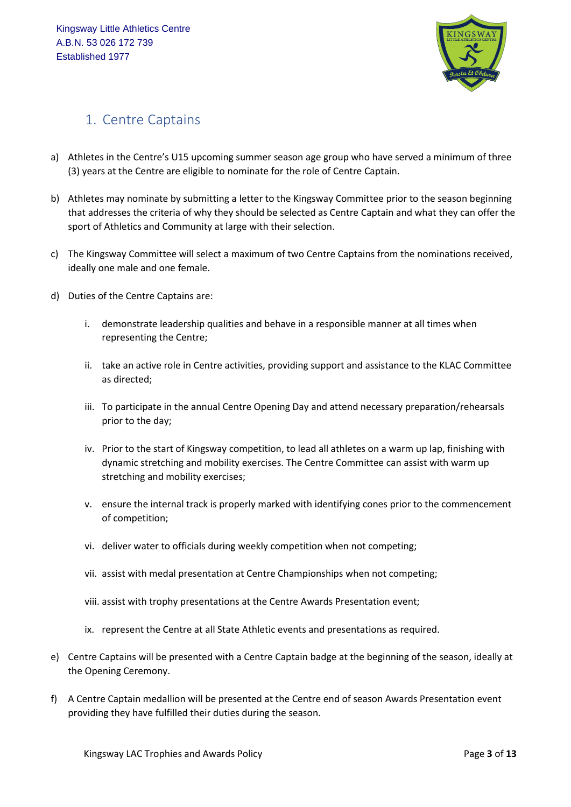

## <span id="page-2-0"></span>1. Centre Captains

- a) Athletes in the Centre's U15 upcoming summer season age group who have served a minimum of three (3) years at the Centre are eligible to nominate for the role of Centre Captain.
- b) Athletes may nominate by submitting a letter to the Kingsway Committee prior to the season beginning that addresses the criteria of why they should be selected as Centre Captain and what they can offer the sport of Athletics and Community at large with their selection.
- c) The Kingsway Committee will select a maximum of two Centre Captains from the nominations received, ideally one male and one female.
- d) Duties of the Centre Captains are:
	- i. demonstrate leadership qualities and behave in a responsible manner at all times when representing the Centre;
	- ii. take an active role in Centre activities, providing support and assistance to the KLAC Committee as directed;
	- iii. To participate in the annual Centre Opening Day and attend necessary preparation/rehearsals prior to the day;
	- iv. Prior to the start of Kingsway competition, to lead all athletes on a warm up lap, finishing with dynamic stretching and mobility exercises. The Centre Committee can assist with warm up stretching and mobility exercises;
	- v. ensure the internal track is properly marked with identifying cones prior to the commencement of competition;
	- vi. deliver water to officials during weekly competition when not competing;
	- vii. assist with medal presentation at Centre Championships when not competing;
	- viii. assist with trophy presentations at the Centre Awards Presentation event;
	- ix. represent the Centre at all State Athletic events and presentations as required.
- e) Centre Captains will be presented with a Centre Captain badge at the beginning of the season, ideally at the Opening Ceremony.
- f) A Centre Captain medallion will be presented at the Centre end of season Awards Presentation event providing they have fulfilled their duties during the season.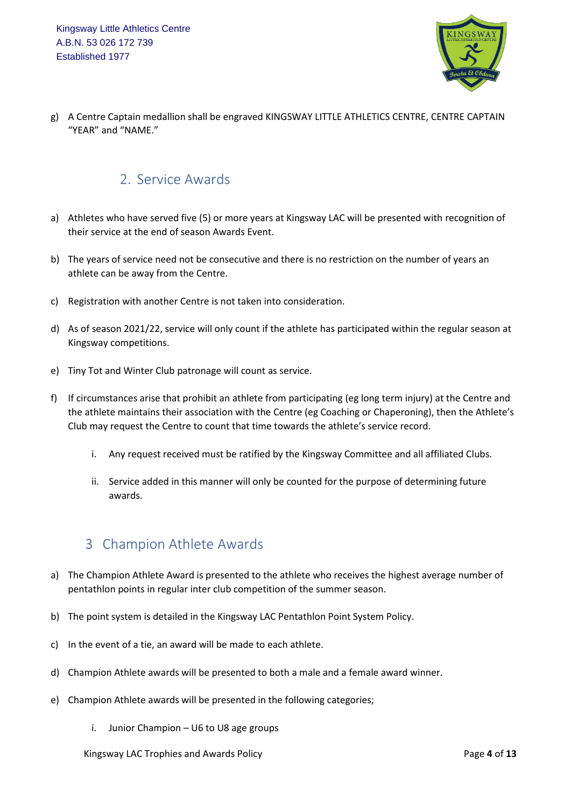

g) A Centre Captain medallion shall be engraved KINGSWAY LITTLE ATHLETICS CENTRE, CENTRE CAPTAIN "YEAR" and "NAME."

### <span id="page-3-0"></span>2. Service Awards

- a) Athletes who have served five (5) or more years at Kingsway LAC will be presented with recognition of their service at the end of season Awards Event.
- b) The years of service need not be consecutive and there is no restriction on the number of years an athlete can be away from the Centre.
- c) Registration with another Centre is not taken into consideration.
- d) As of season 2021/22, service will only count if the athlete has participated within the regular season at Kingsway competitions.
- e) Tiny Tot and Winter Club patronage will count as service.
- f) If circumstances arise that prohibit an athlete from participating (eg long term injury) at the Centre and the athlete maintains their association with the Centre (eg Coaching or Chaperoning), then the Athlete's Club may request the Centre to count that time towards the athlete's service record.
	- i. Any request received must be ratified by the Kingsway Committee and all affiliated Clubs.
	- ii. Service added in this manner will only be counted for the purpose of determining future awards.

#### <span id="page-3-1"></span>3 Champion Athlete Awards

- a) The Champion Athlete Award is presented to the athlete who receives the highest average number of pentathlon points in regular inter club competition of the summer season.
- b) The point system is detailed in the Kingsway LAC Pentathlon Point System Policy.
- c) In the event of a tie, an award will be made to each athlete.
- d) Champion Athlete awards will be presented to both a male and a female award winner.
- e) Champion Athlete awards will be presented in the following categories;
	- i. Junior Champion U6 to U8 age groups

Kingsway LAC Trophies and Awards Policy Page **4** of **13**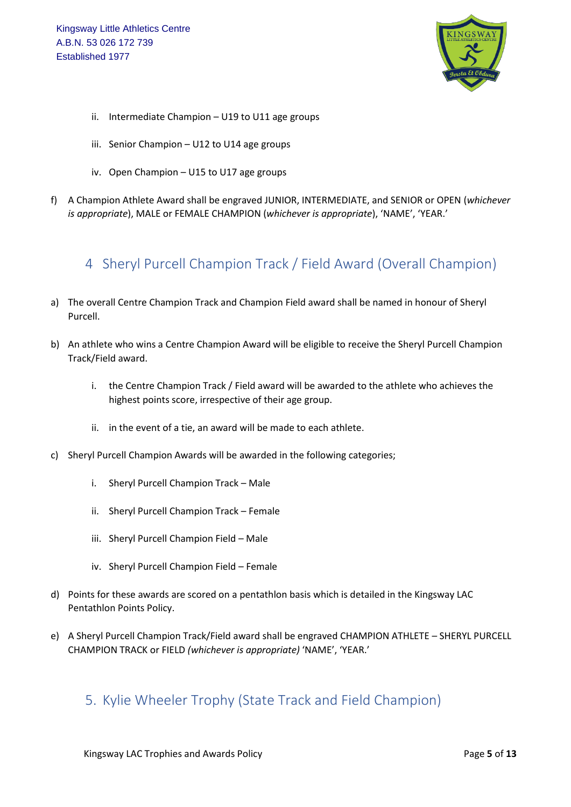Kingsway Little Athletics Centre A.B.N. 53 026 172 739 Established 1977



- ii. Intermediate Champion U19 to U11 age groups
- iii. Senior Champion U12 to U14 age groups
- iv. Open Champion U15 to U17 age groups
- f) A Champion Athlete Award shall be engraved JUNIOR, INTERMEDIATE, and SENIOR or OPEN (*whichever is appropriate*), MALE or FEMALE CHAMPION (*whichever is appropriate*), 'NAME', 'YEAR.'

## <span id="page-4-0"></span>4 Sheryl Purcell Champion Track / Field Award (Overall Champion)

- a) The overall Centre Champion Track and Champion Field award shall be named in honour of Sheryl Purcell.
- b) An athlete who wins a Centre Champion Award will be eligible to receive the Sheryl Purcell Champion Track/Field award.
	- i. the Centre Champion Track / Field award will be awarded to the athlete who achieves the highest points score, irrespective of their age group.
	- ii. in the event of a tie, an award will be made to each athlete.
- c) Sheryl Purcell Champion Awards will be awarded in the following categories;
	- i. Sheryl Purcell Champion Track Male
	- ii. Sheryl Purcell Champion Track Female
	- iii. Sheryl Purcell Champion Field Male
	- iv. Sheryl Purcell Champion Field Female
- d) Points for these awards are scored on a pentathlon basis which is detailed in the Kingsway LAC Pentathlon Points Policy.
- e) A Sheryl Purcell Champion Track/Field award shall be engraved CHAMPION ATHLETE SHERYL PURCELL CHAMPION TRACK or FIELD *(whichever is appropriate)* 'NAME', 'YEAR.'

#### <span id="page-4-1"></span>5. Kylie Wheeler Trophy (State Track and Field Champion)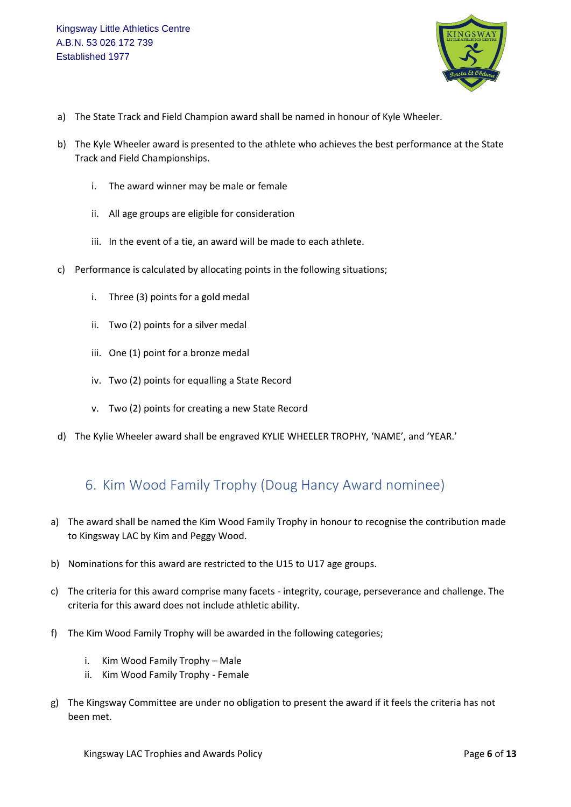

- a) The State Track and Field Champion award shall be named in honour of Kyle Wheeler.
- b) The Kyle Wheeler award is presented to the athlete who achieves the best performance at the State Track and Field Championships.
	- i. The award winner may be male or female
	- ii. All age groups are eligible for consideration
	- iii. In the event of a tie, an award will be made to each athlete.
- c) Performance is calculated by allocating points in the following situations;
	- i. Three (3) points for a gold medal
	- ii. Two (2) points for a silver medal
	- iii. One (1) point for a bronze medal
	- iv. Two (2) points for equalling a State Record
	- v. Two (2) points for creating a new State Record
- d) The Kylie Wheeler award shall be engraved KYLIE WHEELER TROPHY, 'NAME', and 'YEAR.'

#### <span id="page-5-0"></span>6. Kim Wood Family Trophy (Doug Hancy Award nominee)

- a) The award shall be named the Kim Wood Family Trophy in honour to recognise the contribution made to Kingsway LAC by Kim and Peggy Wood.
- b) Nominations for this award are restricted to the U15 to U17 age groups.
- c) The criteria for this award comprise many facets integrity, courage, perseverance and challenge. The criteria for this award does not include athletic ability.
- f) The Kim Wood Family Trophy will be awarded in the following categories;
	- i. Kim Wood Family Trophy Male
	- ii. Kim Wood Family Trophy Female
- g) The Kingsway Committee are under no obligation to present the award if it feels the criteria has not been met.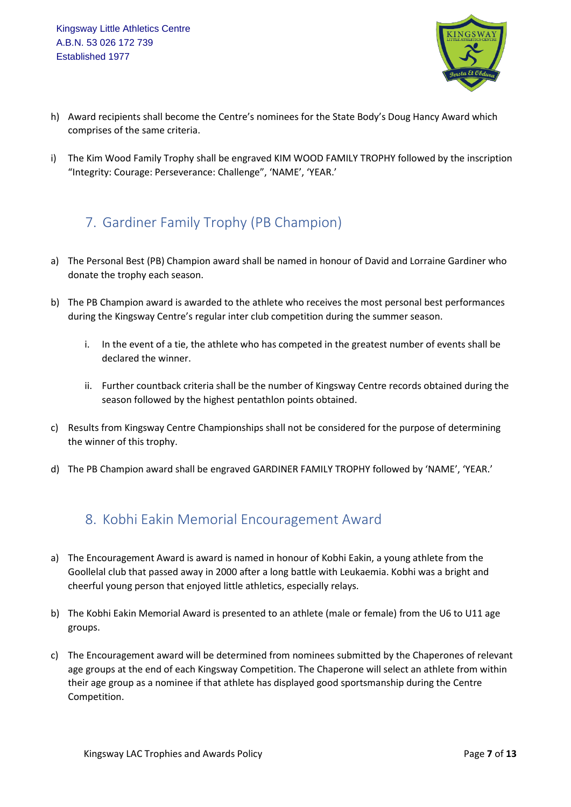

- h) Award recipients shall become the Centre's nominees for the State Body's Doug Hancy Award which comprises of the same criteria.
- i) The Kim Wood Family Trophy shall be engraved KIM WOOD FAMILY TROPHY followed by the inscription "Integrity: Courage: Perseverance: Challenge", 'NAME', 'YEAR.'

# <span id="page-6-0"></span>7. Gardiner Family Trophy (PB Champion)

- a) The Personal Best (PB) Champion award shall be named in honour of David and Lorraine Gardiner who donate the trophy each season.
- b) The PB Champion award is awarded to the athlete who receives the most personal best performances during the Kingsway Centre's regular inter club competition during the summer season.
	- i. In the event of a tie, the athlete who has competed in the greatest number of events shall be declared the winner.
	- ii. Further countback criteria shall be the number of Kingsway Centre records obtained during the season followed by the highest pentathlon points obtained.
- c) Results from Kingsway Centre Championships shall not be considered for the purpose of determining the winner of this trophy.
- d) The PB Champion award shall be engraved GARDINER FAMILY TROPHY followed by 'NAME', 'YEAR.'

#### <span id="page-6-1"></span>8. Kobhi Eakin Memorial Encouragement Award

- a) The Encouragement Award is award is named in honour of Kobhi Eakin, a young athlete from the Goollelal club that passed away in 2000 after a long battle with Leukaemia. Kobhi was a bright and cheerful young person that enjoyed little athletics, especially relays.
- b) The Kobhi Eakin Memorial Award is presented to an athlete (male or female) from the U6 to U11 age groups.
- c) The Encouragement award will be determined from nominees submitted by the Chaperones of relevant age groups at the end of each Kingsway Competition. The Chaperone will select an athlete from within their age group as a nominee if that athlete has displayed good sportsmanship during the Centre Competition.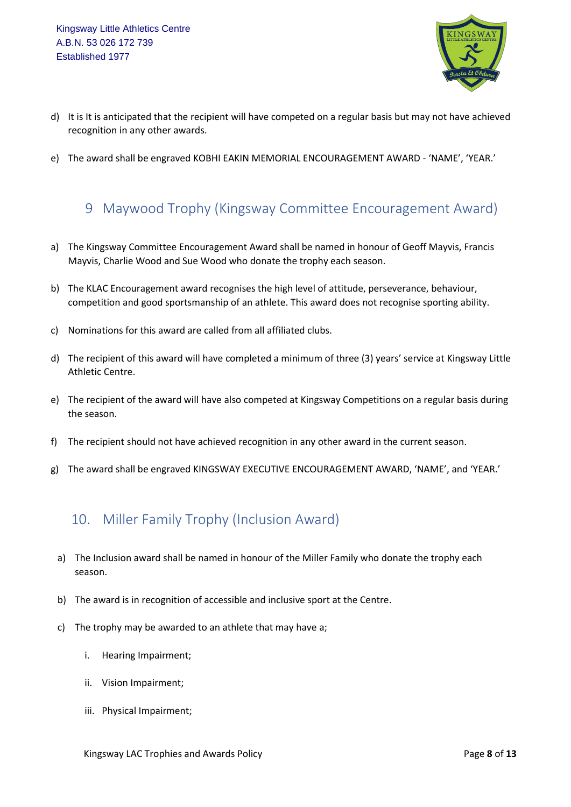

- d) It is It is anticipated that the recipient will have competed on a regular basis but may not have achieved recognition in any other awards.
- e) The award shall be engraved KOBHI EAKIN MEMORIAL ENCOURAGEMENT AWARD 'NAME', 'YEAR.'

## <span id="page-7-0"></span>9 Maywood Trophy (Kingsway Committee Encouragement Award)

- a) The Kingsway Committee Encouragement Award shall be named in honour of Geoff Mayvis, Francis Mayvis, Charlie Wood and Sue Wood who donate the trophy each season.
- b) The KLAC Encouragement award recognises the high level of attitude, perseverance, behaviour, competition and good sportsmanship of an athlete. This award does not recognise sporting ability.
- c) Nominations for this award are called from all affiliated clubs.
- d) The recipient of this award will have completed a minimum of three (3) years' service at Kingsway Little Athletic Centre.
- e) The recipient of the award will have also competed at Kingsway Competitions on a regular basis during the season.
- f) The recipient should not have achieved recognition in any other award in the current season.
- g) The award shall be engraved KINGSWAY EXECUTIVE ENCOURAGEMENT AWARD, 'NAME', and 'YEAR.'

## <span id="page-7-1"></span>10. Miller Family Trophy (Inclusion Award)

- a) The Inclusion award shall be named in honour of the Miller Family who donate the trophy each season.
- b) The award is in recognition of accessible and inclusive sport at the Centre.
- c) The trophy may be awarded to an athlete that may have a;
	- i. Hearing Impairment;
	- ii. Vision Impairment;
	- iii. Physical Impairment;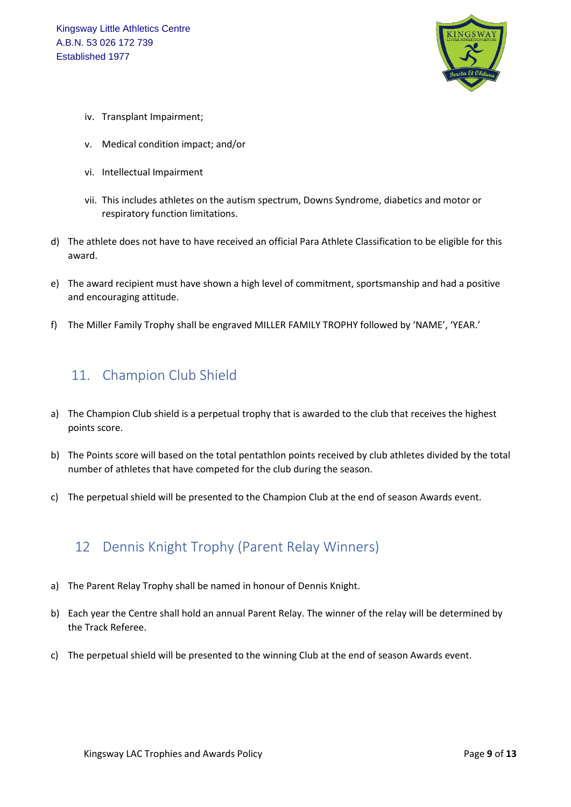

- iv. Transplant Impairment;
- v. Medical condition impact; and/or
- vi. Intellectual Impairment
- vii. This includes athletes on the autism spectrum, Downs Syndrome, diabetics and motor or respiratory function limitations.
- d) The athlete does not have to have received an official Para Athlete Classification to be eligible for this award.
- e) The award recipient must have shown a high level of commitment, sportsmanship and had a positive and encouraging attitude.
- f) The Miller Family Trophy shall be engraved MILLER FAMILY TROPHY followed by 'NAME', 'YEAR.'

## <span id="page-8-0"></span>11. Champion Club Shield

- a) The Champion Club shield is a perpetual trophy that is awarded to the club that receives the highest points score.
- b) The Points score will based on the total pentathlon points received by club athletes divided by the total number of athletes that have competed for the club during the season.
- c) The perpetual shield will be presented to the Champion Club at the end of season Awards event.

#### <span id="page-8-1"></span>12 Dennis Knight Trophy (Parent Relay Winners)

- a) The Parent Relay Trophy shall be named in honour of Dennis Knight.
- b) Each year the Centre shall hold an annual Parent Relay. The winner of the relay will be determined by the Track Referee.
- c) The perpetual shield will be presented to the winning Club at the end of season Awards event.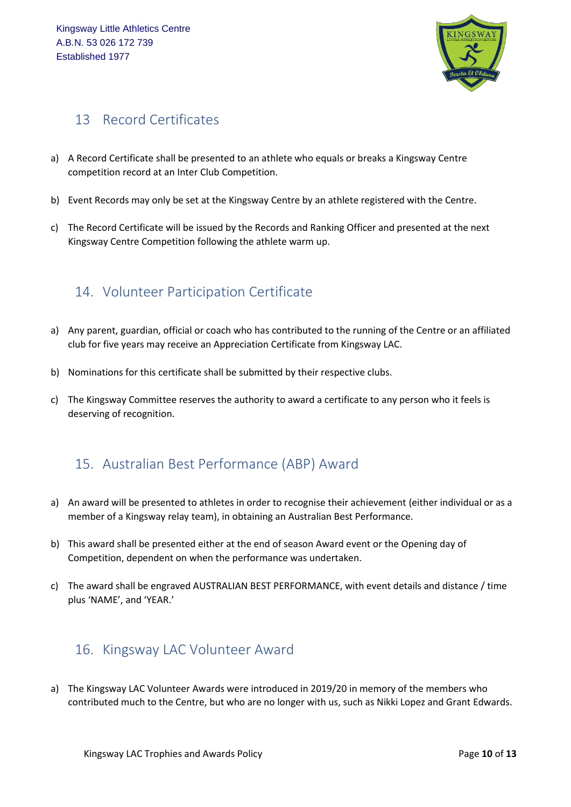

## <span id="page-9-0"></span>13 Record Certificates

- a) A Record Certificate shall be presented to an athlete who equals or breaks a Kingsway Centre competition record at an Inter Club Competition.
- b) Event Records may only be set at the Kingsway Centre by an athlete registered with the Centre.
- c) The Record Certificate will be issued by the Records and Ranking Officer and presented at the next Kingsway Centre Competition following the athlete warm up.

## <span id="page-9-1"></span>14. Volunteer Participation Certificate

- a) Any parent, guardian, official or coach who has contributed to the running of the Centre or an affiliated club for five years may receive an Appreciation Certificate from Kingsway LAC.
- b) Nominations for this certificate shall be submitted by their respective clubs.
- c) The Kingsway Committee reserves the authority to award a certificate to any person who it feels is deserving of recognition.

## <span id="page-9-2"></span>15. Australian Best Performance (ABP) Award

- a) An award will be presented to athletes in order to recognise their achievement (either individual or as a member of a Kingsway relay team), in obtaining an Australian Best Performance.
- b) This award shall be presented either at the end of season Award event or the Opening day of Competition, dependent on when the performance was undertaken.
- c) The award shall be engraved AUSTRALIAN BEST PERFORMANCE, with event details and distance / time plus 'NAME', and 'YEAR.'

#### <span id="page-9-3"></span>16. Kingsway LAC Volunteer Award

a) The Kingsway LAC Volunteer Awards were introduced in 2019/20 in memory of the members who contributed much to the Centre, but who are no longer with us, such as Nikki Lopez and Grant Edwards.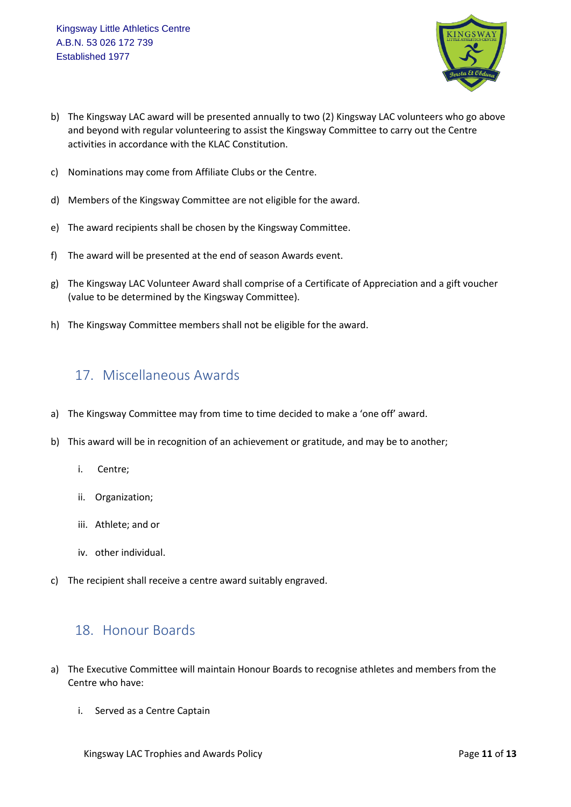

- b) The Kingsway LAC award will be presented annually to two (2) Kingsway LAC volunteers who go above and beyond with regular volunteering to assist the Kingsway Committee to carry out the Centre activities in accordance with the KLAC Constitution.
- c) Nominations may come from Affiliate Clubs or the Centre.
- d) Members of the Kingsway Committee are not eligible for the award.
- e) The award recipients shall be chosen by the Kingsway Committee.
- f) The award will be presented at the end of season Awards event.
- g) The Kingsway LAC Volunteer Award shall comprise of a Certificate of Appreciation and a gift voucher (value to be determined by the Kingsway Committee).
- h) The Kingsway Committee members shall not be eligible for the award.

#### <span id="page-10-0"></span>17. Miscellaneous Awards

- a) The Kingsway Committee may from time to time decided to make a 'one off' award.
- b) This award will be in recognition of an achievement or gratitude, and may be to another;
	- i. Centre;
	- ii. Organization;
	- iii. Athlete; and or
	- iv. other individual.
- c) The recipient shall receive a centre award suitably engraved.

#### <span id="page-10-1"></span>18. Honour Boards

- a) The Executive Committee will maintain Honour Boards to recognise athletes and members from the Centre who have:
	- i. Served as a Centre Captain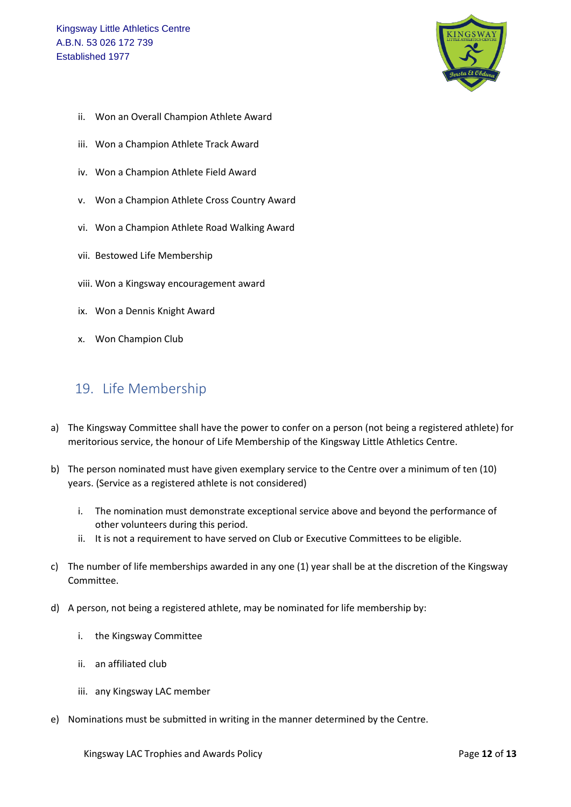

- ii. Won an Overall Champion Athlete Award
- iii. Won a Champion Athlete Track Award
- iv. Won a Champion Athlete Field Award
- v. Won a Champion Athlete Cross Country Award
- vi. Won a Champion Athlete Road Walking Award
- vii. Bestowed Life Membership
- viii. Won a Kingsway encouragement award
- ix. Won a Dennis Knight Award
- x. Won Champion Club

#### <span id="page-11-0"></span>19. Life Membership

- a) The Kingsway Committee shall have the power to confer on a person (not being a registered athlete) for meritorious service, the honour of Life Membership of the Kingsway Little Athletics Centre.
- b) The person nominated must have given exemplary service to the Centre over a minimum of ten (10) years. (Service as a registered athlete is not considered)
	- i. The nomination must demonstrate exceptional service above and beyond the performance of other volunteers during this period.
	- ii. It is not a requirement to have served on Club or Executive Committees to be eligible.
- c) The number of life memberships awarded in any one (1) year shall be at the discretion of the Kingsway Committee.
- d) A person, not being a registered athlete, may be nominated for life membership by:
	- i. the Kingsway Committee
	- ii. an affiliated club
	- iii. any Kingsway LAC member
- e) Nominations must be submitted in writing in the manner determined by the Centre.